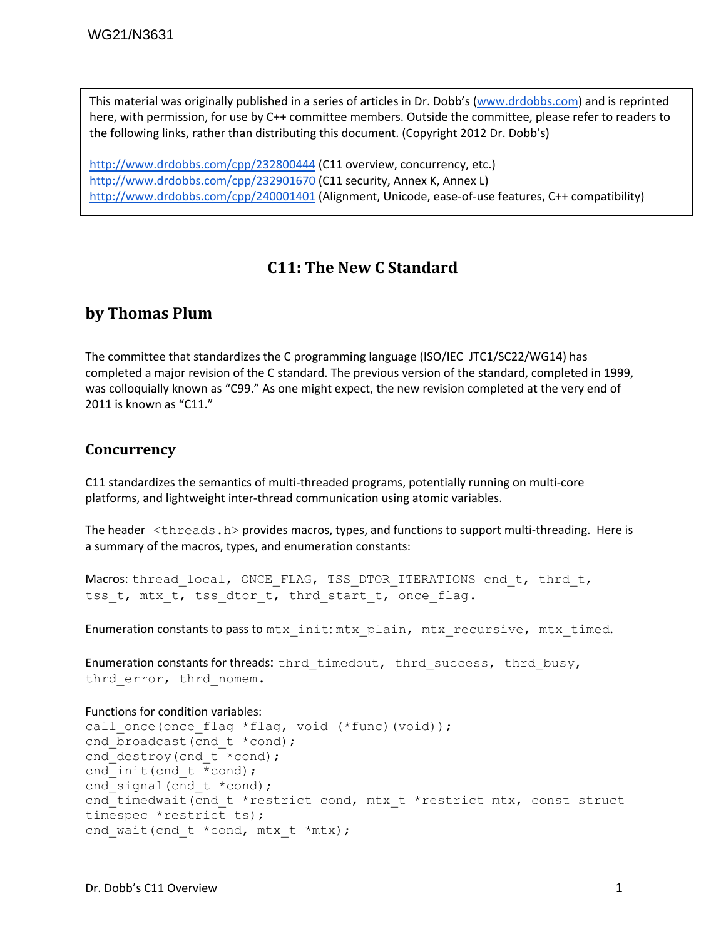This material was originally published in a series of articles in Dr. Dobb's (www.drdobbs.com) and is reprinted here, with permission, for use by C++ committee members. Outside the committee, please refer to readers to the following links, rather than distributing this document. (Copyright 2012 Dr. Dobb's)

http://www.drdobbs.com/cpp/232800444 (C11 overview, concurrency, etc.) http://www.drdobbs.com/cpp/232901670 (C11 security, Annex K, Annex L) http://www.drdobbs.com/cpp/240001401 (Alignment, Unicode, ease-of-use features, C++ compatibility)

# **C11: The New C Standard**

## **by Thomas Plum**

The committee that standardizes the C programming language (ISO/IEC JTC1/SC22/WG14) has completed a major revision of the C standard. The previous version of the standard, completed in 1999, was colloquially known as "C99." As one might expect, the new revision completed at the very end of 2011 is known as "C11."

#### **Concurrency**

C11 standardizes the semantics of multi‐threaded programs, potentially running on multi‐core platforms, and lightweight inter‐thread communication using atomic variables.

The header  $\lt$ threads.h> provides macros, types, and functions to support multi-threading. Here is a summary of the macros, types, and enumeration constants:

Macros: thread local, ONCE FLAG, TSS DTOR ITERATIONS cnd t, thrd t, tss t, mtx t, tss dtor t, thrd start t, once flag.

Enumeration constants to pass to  $mtx$  init:  $mtx$  plain,  $mtx$  recursive,  $mtx$  timed.

Enumeration constants for threads: thrd timedout, thrd success, thrd busy, thrd error, thrd nomem.

```
Functions for condition variables:
```

```
call once(once flag *flag, void (*func)(void));
cnd broadcast(cnd t *cond);
cnd destroy(cnd t *cond);
cnd init(cnd t * cond);
cnd signal(cnd t *cond);
cnd_timedwait(cnd_t *restrict cond, mtx_t *restrict mtx, const struct
timespec *restrict ts); 
cnd wait(cnd t *cond, mtx t *mtx);
```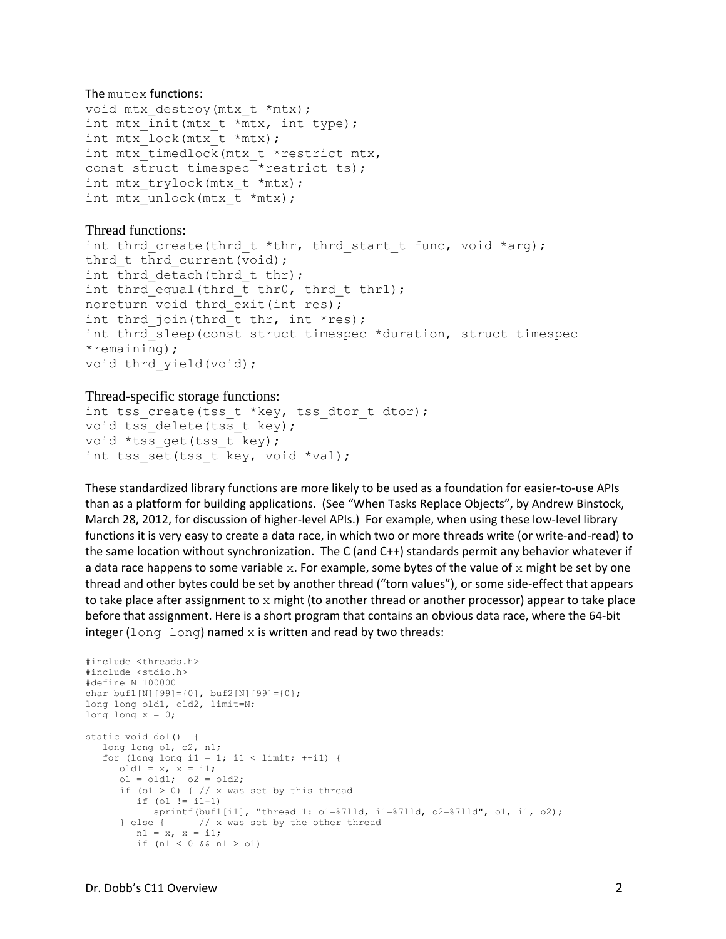#### The mutex functions:

```
void mtx destroy(mtx t *mtx);
int mtx init(mtx t *mtx, int type);
int mtx lock(mtx t *mtx);
int mtx timedlock(mtx t *restrict mtx,
const struct timespec *restrict ts); 
int mtx trylock(mtx t *mtx);
int mtx unlock(mtx t *mtx);
```
#### Thread functions:

```
int thrd create(thrd t *thr, thrd start t func, void *arg);
thrd t thrd current (void);
int thrd detach(thrd t thr);
int thrd equal(thrd t thr0, thrd t thr1);
noreturn void thrd exit(int res);
int thrd join(thrd t thr, int *res);
int thrd sleep(const struct timespec *duration, struct timespec
*remaining); 
void thrd yield(void);
```
#### Thread-specific storage functions:

```
int tss create(tss t *key, tss dtor t dtor);
void tss delete(tss t key);
void *tss get(tss t key);
int tss set(tss t key, void *val);
```
These standardized library functions are more likely to be used as a foundation for easier‐to‐use APIs than as a platform for building applications. (See "When Tasks Replace Objects", by Andrew Binstock, March 28, 2012, for discussion of higher-level APIs.) For example, when using these low-level library functions it is very easy to create a data race, in which two or more threads write (or write-and-read) to the same location without synchronization. The C (and C++) standards permit any behavior whatever if a data race happens to some variable  $x$ . For example, some bytes of the value of  $x$  might be set by one thread and other bytes could be set by another thread ("torn values"), or some side‐effect that appears to take place after assignment to  $x$  might (to another thread or another processor) appear to take place before that assignment. Here is a short program that contains an obvious data race, where the 64‐bit integer (long long) named  $x$  is written and read by two threads:

```
#include <threads.h> 
#include <stdio.h> 
#define N 100000 
char buf1[N][99]={0}, buf2[N][99]={0}; 
long long old1, old2, limit=N; 
long long x = 0;
static void do1() { 
   long long o1, o2, n1; 
   for (long long i1 = 1; i1 < limit; ++i1) {
      old1 = x, x = i1;ol = old; ol = old;if (01 > 0) { // x was set by this threadif (o1 != i1-1)sprintf(buf1[i1], "thread 1: o1=%7lld, i1=%7lld, o2=%7lld", o1, i1, o2);<br>} else { // x was set by the other thread
                   // x was set by the other thread
         nl = x, x = i1;
         if (n1 < 0 & n1 > 01)
```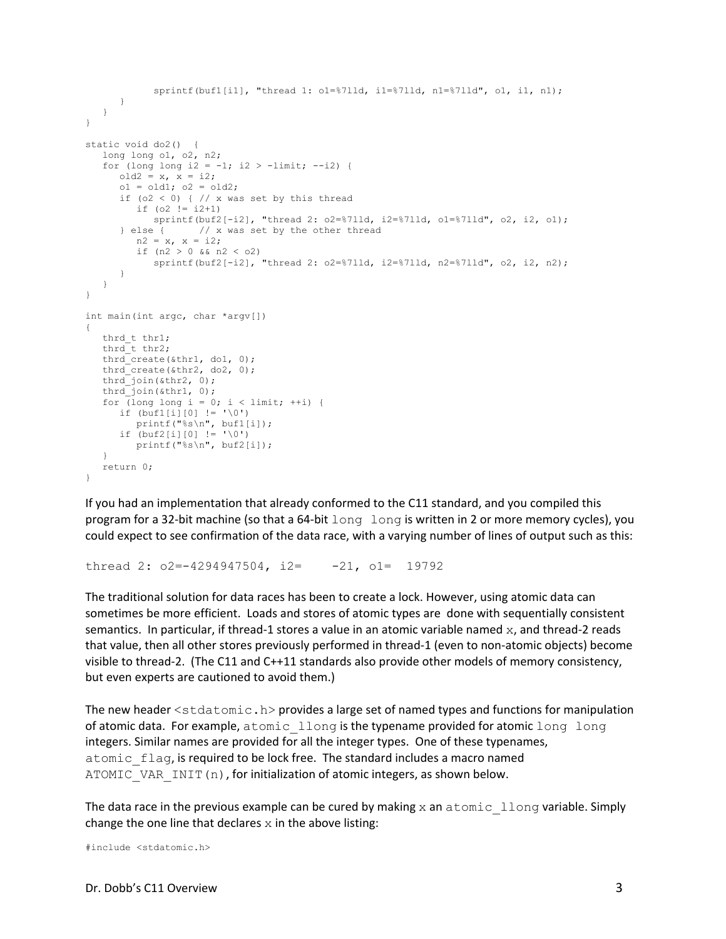```
 sprintf(buf1[i1], "thread 1: o1=%7lld, i1=%7lld, n1=%7lld", o1, i1, n1); 
       } 
    } 
} 
static void do2() { 
    long long o1, o2, n2; 
   for (long long i2 = -1; i2 > -1imit; -i2) {
     old2 = x, x = i2;ol = old; ol = old;if (o2 < 0) { // x was set by this thread
         if (o2 != i2+1)sprintf(buf2[-i2], "thread 2: o2 = \frac{8711}{d}, i2 = \frac{8711}{d}, o1 = \frac{8711}{d}, o2, i2, o1);
       } else { // x was set by the other thread 
         n2 = x, x = i2;
         if (n2 > 0 \&amp; n2 < 02) sprintf(buf2[-i2], "thread 2: o2=%7lld, i2=%7lld, n2=%7lld", o2, i2, n2); 
       } 
    } 
} 
int main(int argc, char *argv[]) 
{ 
   thrd t thr1;
  thrd\overline{t} thr2;
  thrd create(&thr1, do1, 0);
   thrd_create(&thr2, do2, 0); 
  thrd<sup>-</sup>join(&thr2, 0);
   thrd_join(&thr1, 0); 
  for (long long i = 0; i < limit; ++i) {
     if (buf1[i][0] != ' \ 0')
          printf("%s\n", buf1[i]); 
      if (buf2[i][0] != '\\0') printf("%s\n", buf2[i]); 
    } 
    return 0; 
}
```
If you had an implementation that already conformed to the C11 standard, and you compiled this program for a 32-bit machine (so that a 64-bit long long is written in 2 or more memory cycles), you could expect to see confirmation of the data race, with a varying number of lines of output such as this:

```
thread 2: o2=-4294947504, i2= -21, o1= 19792
```
The traditional solution for data races has been to create a lock. However, using atomic data can sometimes be more efficient. Loads and stores of atomic types are done with sequentially consistent semantics. In particular, if thread-1 stores a value in an atomic variable named  $x$ , and thread-2 reads that value, then all other stores previously performed in thread‐1 (even to non‐atomic objects) become visible to thread‐2. (The C11 and C++11 standards also provide other models of memory consistency, but even experts are cautioned to avoid them.)

The new header  $\leq$  stdatomic.h> provides a large set of named types and functions for manipulation of atomic data. For example, atomic llong is the typename provided for atomic long long integers. Similar names are provided for all the integer types. One of these typenames, atomic flag, is required to be lock free. The standard includes a macro named ATOMIC VAR INIT(n), for initialization of atomic integers, as shown below.

The data race in the previous example can be cured by making  $x$  an atomic llong variable. Simply change the one line that declares  $x$  in the above listing:

```
#include <stdatomic.h>
```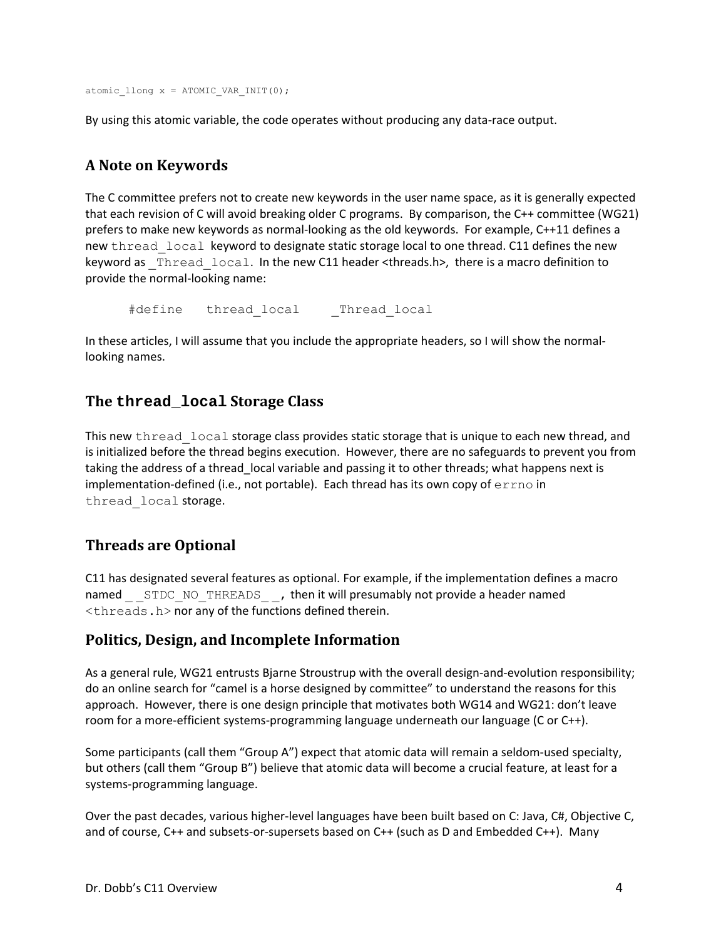```
atomic llong x = ATOMIC VAR INIT(0);
```
By using this atomic variable, the code operates without producing any data‐race output.

# **A Note on Keywords**

The C committee prefers not to create new keywords in the user name space, as it is generally expected that each revision of C will avoid breaking older C programs. By comparison, the C++ committee (WG21) prefers to make new keywords as normal-looking as the old keywords. For example, C++11 defines a new thread local keyword to designate static storage local to one thread. C11 defines the new keyword as Thread local. In the new C11 header <threads.h>, there is a macro definition to provide the normal‐looking name:

#define thread local Thread local

In these articles, I will assume that you include the appropriate headers, so I will show the normallooking names.

## **The thread\_local Storage Class**

This new thread local storage class provides static storage that is unique to each new thread, and is initialized before the thread begins execution. However, there are no safeguards to prevent you from taking the address of a thread\_local variable and passing it to other threads; what happens next is implementation-defined (i.e., not portable). Each thread has its own copy of  $error$  in thread\_local storage.

## **Threads are Optional**

C11 has designated several features as optional. For example, if the implementation defines a macro named STDC\_NO\_THREADS \_\_, then it will presumably not provide a header named <threads.h> nor any of the functions defined therein.

## **Politics, Design, and Incomplete Information**

As a general rule, WG21 entrusts Bjarne Stroustrup with the overall design-and-evolution responsibility; do an online search for "camel is a horse designed by committee" to understand the reasons for this approach. However, there is one design principle that motivates both WG14 and WG21: don't leave room for a more-efficient systems-programming language underneath our language (C or C++).

Some participants (call them "Group A") expect that atomic data will remain a seldom-used specialty, but others (call them "Group B") believe that atomic data will become a crucial feature, at least for a systems‐programming language.

Over the past decades, various higher-level languages have been built based on C: Java, C#, Objective C, and of course, C++ and subsets-or-supersets based on C++ (such as D and Embedded C++). Many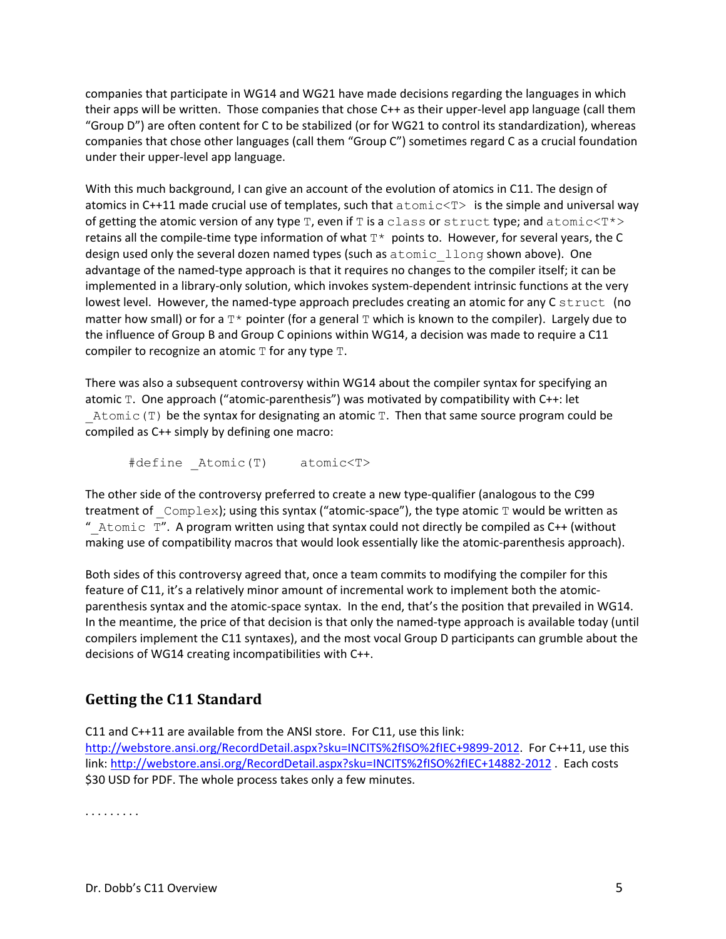companies that participate in WG14 and WG21 have made decisions regarding the languages in which their apps will be written. Those companies that chose C++ as their upper-level app language (call them "Group D") are often content for C to be stabilized (or for WG21 to control its standardization), whereas companies that chose other languages (call them "Group C") sometimes regard C as a crucial foundation under their upper‐level app language.

With this much background, I can give an account of the evolution of atomics in C11. The design of atomics in C++11 made crucial use of templates, such that  $atomic$  is the simple and universal way of getting the atomic version of any type  $T$ , even if  $T$  is a class or struct type; and atomic $(T^*$ retains all the compile-time type information of what  $T^*$  points to. However, for several years, the C design used only the several dozen named types (such as atomic llong shown above). One advantage of the named‐type approach is that it requires no changes to the compiler itself; it can be implemented in a library-only solution, which invokes system-dependent intrinsic functions at the very lowest level. However, the named-type approach precludes creating an atomic for any  $C$  struct (no matter how small) or for a  $T^*$  pointer (for a general  $T$  which is known to the compiler). Largely due to the influence of Group B and Group C opinions within WG14, a decision was made to require a C11 compiler to recognize an atomic  $T$  for any type  $T$ .

There was also a subsequent controversy within WG14 about the compiler syntax for specifying an atomic T. One approach ("atomic‐parenthesis") was motivated by compatibility with C++: let Atomic(T) be the syntax for designating an atomic T. Then that same source program could be compiled as C++ simply by defining one macro:

#define \_Atomic(T) atomic<T>

The other side of the controversy preferred to create a new type-qualifier (analogous to the C99 treatment of  $\text{Complex}$ ; using this syntax ("atomic-space"), the type atomic T would be written as "  $A$ tomic  $T''$ . A program written using that syntax could not directly be compiled as C++ (without making use of compatibility macros that would look essentially like the atomic‐parenthesis approach).

Both sides of this controversy agreed that, once a team commits to modifying the compiler for this feature of C11, it's a relatively minor amount of incremental work to implement both the atomic‐ parenthesis syntax and the atomic-space syntax. In the end, that's the position that prevailed in WG14. In the meantime, the price of that decision is that only the named-type approach is available today (until compilers implement the C11 syntaxes), and the most vocal Group D participants can grumble about the decisions of WG14 creating incompatibilities with C++.

# **Getting the C11 Standard**

C11 and C++11 are available from the ANSI store. For C11, use this link: http://webstore.ansi.org/RecordDetail.aspx?sku=INCITS%2fISO%2fIEC+9899-2012. For C++11, use this link: http://webstore.ansi.org/RecordDetail.aspx?sku=INCITS%2fISO%2fIEC+14882‐2012 . Each costs \$30 USD for PDF. The whole process takes only a few minutes.

. . . . . . . . .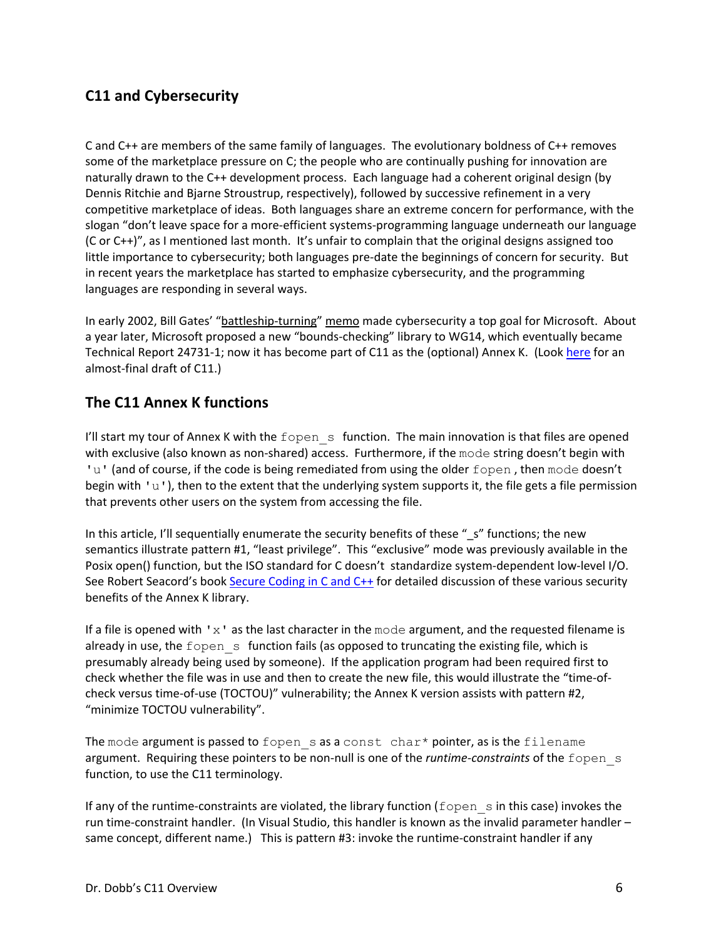# **C11 and Cybersecurity**

C and C++ are members of the same family of languages. The evolutionary boldness of C++ removes some of the marketplace pressure on C; the people who are continually pushing for innovation are naturally drawn to the C++ development process. Each language had a coherent original design (by Dennis Ritchie and Bjarne Stroustrup, respectively), followed by successive refinement in a very competitive marketplace of ideas. Both languages share an extreme concern for performance, with the slogan "don't leave space for a more‐efficient systems‐programming language underneath our language (C or C++)", as I mentioned last month. It's unfair to complain that the original designs assigned too little importance to cybersecurity; both languages pre‐date the beginnings of concern for security. But in recent years the marketplace has started to emphasize cybersecurity, and the programming languages are responding in several ways.

In early 2002, Bill Gates' "battleship-turning" memo made cybersecurity a top goal for Microsoft. About a year later, Microsoft proposed a new "bounds‐checking" library to WG14, which eventually became Technical Report 24731-1; now it has become part of C11 as the (optional) Annex K. (Look here for an almost‐final draft of C11.)

## **The C11 Annex K functions**

I'll start my tour of Annex K with the fopen  $s$  function. The main innovation is that files are opened with exclusive (also known as non-shared) access. Furthermore, if the mode string doesn't begin with 'u' (and of course, if the code is being remediated from using the older fopen, then mode doesn't begin with 'u'), then to the extent that the underlying system supports it, the file gets a file permission that prevents other users on the system from accessing the file.

In this article, I'll sequentially enumerate the security benefits of these "\_s" functions; the new semantics illustrate pattern #1, "least privilege". This "exclusive" mode was previously available in the Posix open() function, but the ISO standard for C doesn't standardize system-dependent low-level I/O. See Robert Seacord's book Secure Coding in C and C++ for detailed discussion of these various security benefits of the Annex K library.

If a file is opened with  $x<sup>1</sup>$  as the last character in the mode argument, and the requested filename is already in use, the fopen s function fails (as opposed to truncating the existing file, which is presumably already being used by someone). If the application program had been required first to check whether the file was in use and then to create the new file, this would illustrate the "time‐of‐ check versus time-of-use (TOCTOU)" vulnerability; the Annex K version assists with pattern #2, "minimize TOCTOU vulnerability".

The mode argument is passed to fopen  $s$  as a const char\* pointer, as is the filename argument. Requiring these pointers to be non-null is one of the *runtime-constraints* of the fopen s function, to use the C11 terminology.

If any of the runtime-constraints are violated, the library function ( $f$ open  $\,$ s in this case) invokes the run time‐constraint handler. (In Visual Studio, this handler is known as the invalid parameter handler – same concept, different name.) This is pattern #3: invoke the runtime-constraint handler if any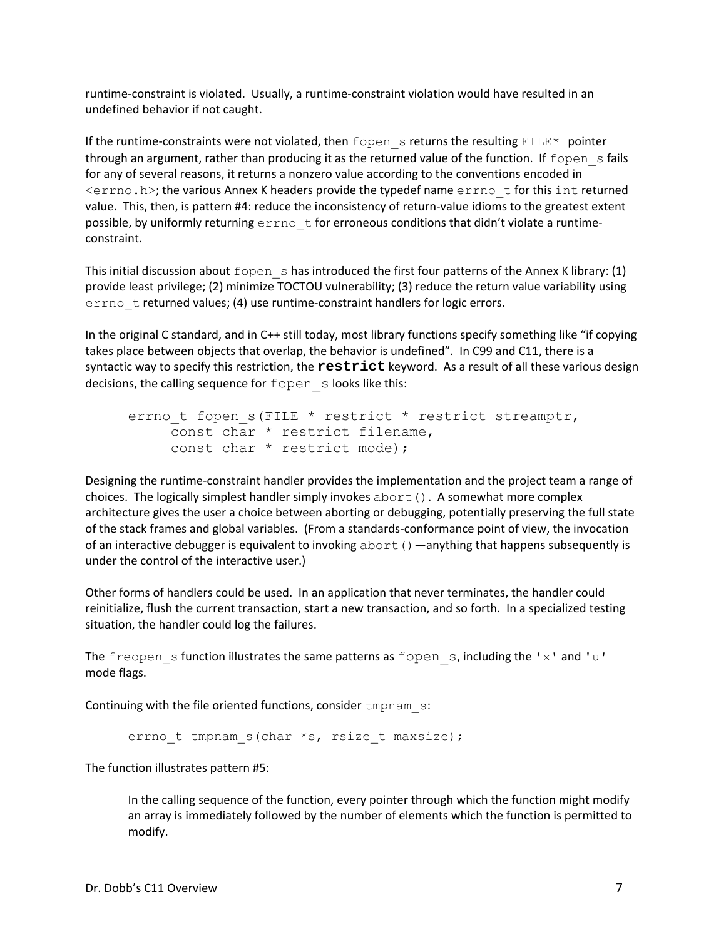runtime‐constraint is violated. Usually, a runtime‐constraint violation would have resulted in an undefined behavior if not caught.

If the runtime-constraints were not violated, then fopen s returns the resulting FILE\* pointer through an argument, rather than producing it as the returned value of the function. If  $f$ open s fails for any of several reasons, it returns a nonzero value according to the conventions encoded in  $\langle$ errno.h>; the various Annex K headers provide the typedef name errno t for this int returned value. This, then, is pattern #4: reduce the inconsistency of return-value idioms to the greatest extent possible, by uniformly returning errno t for erroneous conditions that didn't violate a runtimeconstraint.

This initial discussion about  $f$ open shas introduced the first four patterns of the Annex K library: (1) provide least privilege; (2) minimize TOCTOU vulnerability; (3) reduce the return value variability using errno t returned values; (4) use runtime-constraint handlers for logic errors.

In the original C standard, and in C++ still today, most library functions specify something like "if copying takes place between objects that overlap, the behavior is undefined". In C99 and C11, there is a syntactic way to specify this restriction, the **restrict** keyword. As a result of all these various design decisions, the calling sequence for fopen s looks like this:

```
errno t fopen s(FILE * restrict * restrict streamptr,
     const char * restrict filename, 
     const char * restrict mode);
```
Designing the runtime‐constraint handler provides the implementation and the project team a range of choices. The logically simplest handler simply invokes  $abort()$ . A somewhat more complex architecture gives the user a choice between aborting or debugging, potentially preserving the full state of the stack frames and global variables. (From a standards‐conformance point of view, the invocation of an interactive debugger is equivalent to invoking  $abort()$  —anything that happens subsequently is under the control of the interactive user.)

Other forms of handlers could be used. In an application that never terminates, the handler could reinitialize, flush the current transaction, start a new transaction, and so forth. In a specialized testing situation, the handler could log the failures.

The freopen s function illustrates the same patterns as fopen s, including the 'x' and 'u' mode flags.

Continuing with the file oriented functions, consider tmpnam s:

```
errno t tmpnam s(char *s, rsize t maxsize);
```
The function illustrates pattern #5:

In the calling sequence of the function, every pointer through which the function might modify an array is immediately followed by the number of elements which the function is permitted to modify.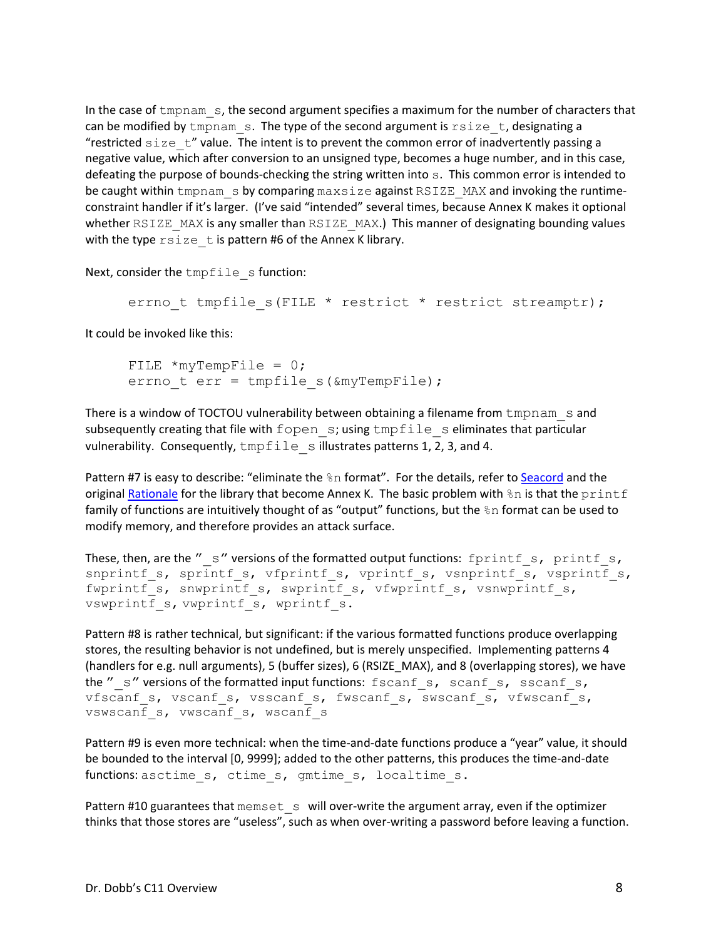In the case of tmpnam s, the second argument specifies a maximum for the number of characters that can be modified by tmpnam  $\,$ s. The type of the second argument is  $rsize \, t$ , designating a "restricted  $size$   $t$ " value. The intent is to prevent the common error of inadvertently passing a negative value, which after conversion to an unsigned type, becomes a huge number, and in this case, defeating the purpose of bounds‐checking the string written into s. This common error is intended to be caught within tmpnam s by comparing maxsize against RSIZE\_MAX and invoking the runtimeconstraint handler if it's larger. (I've said "intended" several times, because Annex K makes it optional whether RSIZE MAX is any smaller than RSIZE MAX.) This manner of designating bounding values with the type  $rsize$  t is pattern #6 of the Annex K library.

Next, consider the tmpfile s function:

errno t tmpfile s(FILE \* restrict \* restrict streamptr);

It could be invoked like this:

FILE  $*$ myTempFile = 0; errno t err = tmpfile s( $\text{amyTempFile}$ );

There is a window of TOCTOU vulnerability between obtaining a filename from tmpnam s and subsequently creating that file with fopen s; using tmpfile s eliminates that particular vulnerability. Consequently,  $\text{tmpfile}$  s illustrates patterns 1, 2, 3, and 4.

Pattern #7 is easy to describe: "eliminate the  $\S$ n format". For the details, refer to Seacord and the original Rationale for the library that become Annex K. The basic problem with  $\epsilon$ n is that the printf family of functions are intuitively thought of as "output" functions, but the %n format can be used to modify memory, and therefore provides an attack surface.

```
These, then, are the "\, s" versions of the formatted output functions: fprintf \,s, printf \,s,
snprintf s, sprintf s, vfprintf s, vprintf s, vsnprintf s, vsprintf s,
fwprintf_s, snwprintf_s, swprintf_s, vfwprintf_s, vsnwprintf_s,
vswprintf s, vwprintf s, wprintf s.
```
Pattern #8 is rather technical, but significant: if the various formatted functions produce overlapping stores, the resulting behavior is not undefined, but is merely unspecified. Implementing patterns 4 (handlers for e.g. null arguments), 5 (buffer sizes), 6 (RSIZE\_MAX), and 8 (overlapping stores), we have the " $\,$  s" versions of the formatted input functions:  $f$  scanf  $\,$ s, scanf  $\,$ s, sscanf  $\,$ s, vfscanf s, vscanf s, vsscanf s, fwscanf s, swscanf s, vfwscanf s, vswscanf s, vwscanf s, wscanf s

Pattern #9 is even more technical: when the time-and-date functions produce a "year" value, it should be bounded to the interval [0, 9999]; added to the other patterns, this produces the time-and-date functions: asctime s, ctime s, gmtime s, localtime s.

Pattern #10 guarantees that memset s will over-write the argument array, even if the optimizer thinks that those stores are "useless", such as when over‐writing a password before leaving a function.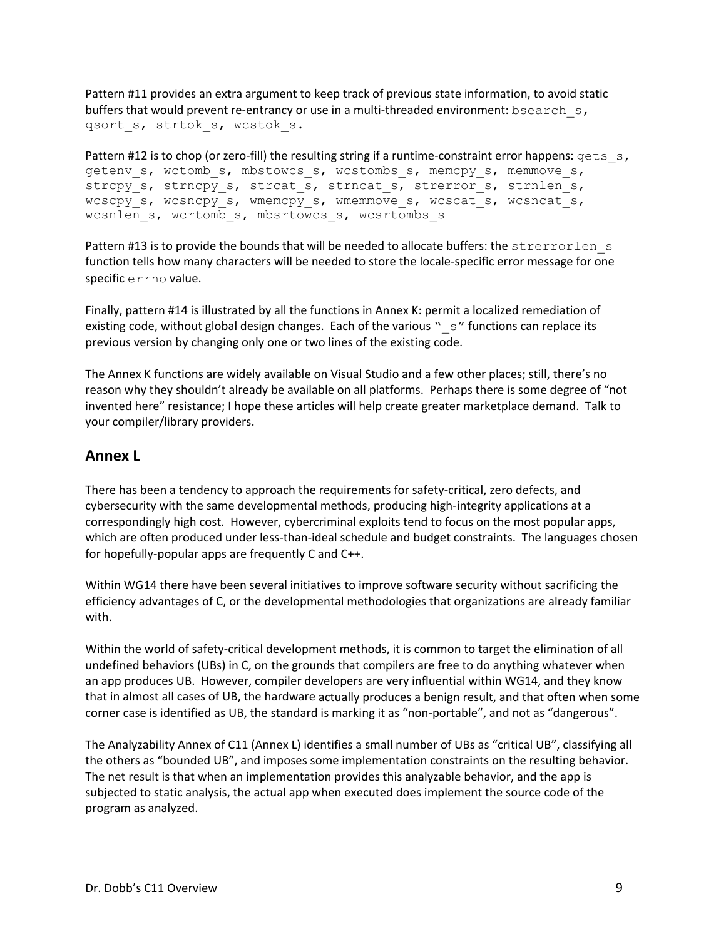Pattern #11 provides an extra argument to keep track of previous state information, to avoid static buffers that would prevent re-entrancy or use in a multi-threaded environment: bsearch  $s$ , qsort s, strtok s, wcstok s.

Pattern #12 is to chop (or zero-fill) the resulting string if a runtime-constraint error happens:  $qets$  s, getenv s, wctomb s, mbstowcs s, wcstombs s, memcpy s, memmove s, strcpy\_s, strncpy\_s, strcat\_s, strncat\_s, strerror\_s, strnlen\_s, wcscpy s, wcsncpy s, wmemcpy s, wmemmove s, wcscat s, wcsncat s, wcsnlen s, wcrtomb s, mbsrtowcs s, wcsrtombs s

Pattern #13 is to provide the bounds that will be needed to allocate buffers: the strerrorlen s function tells how many characters will be needed to store the locale‐specific error message for one specific errno value.

Finally, pattern #14 is illustrated by all the functions in Annex K: permit a localized remediation of existing code, without global design changes. Each of the various " $\,$  s" functions can replace its previous version by changing only one or two lines of the existing code.

The Annex K functions are widely available on Visual Studio and a few other places; still, there's no reason why they shouldn't already be available on all platforms. Perhaps there is some degree of "not invented here" resistance; I hope these articles will help create greater marketplace demand. Talk to your compiler/library providers.

#### **Annex L**

There has been a tendency to approach the requirements for safety‐critical, zero defects, and cybersecurity with the same developmental methods, producing high-integrity applications at a correspondingly high cost. However, cybercriminal exploits tend to focus on the most popular apps, which are often produced under less-than-ideal schedule and budget constraints. The languages chosen for hopefully‐popular apps are frequently C and C++.

Within WG14 there have been several initiatives to improve software security without sacrificing the efficiency advantages of C, or the developmental methodologies that organizations are already familiar with.

Within the world of safety‐critical development methods, it is common to target the elimination of all undefined behaviors (UBs) in C, on the grounds that compilers are free to do anything whatever when an app produces UB. However, compiler developers are very influential within WG14, and they know that in almost all cases of UB, the hardware actually produces a benign result, and that often when some corner case is identified as UB, the standard is marking it as "non‐portable", and not as "dangerous".

The Analyzability Annex of C11 (Annex L) identifies a small number of UBs as "critical UB", classifying all the others as "bounded UB", and imposes some implementation constraints on the resulting behavior. The net result is that when an implementation provides this analyzable behavior, and the app is subjected to static analysis, the actual app when executed does implement the source code of the program as analyzed.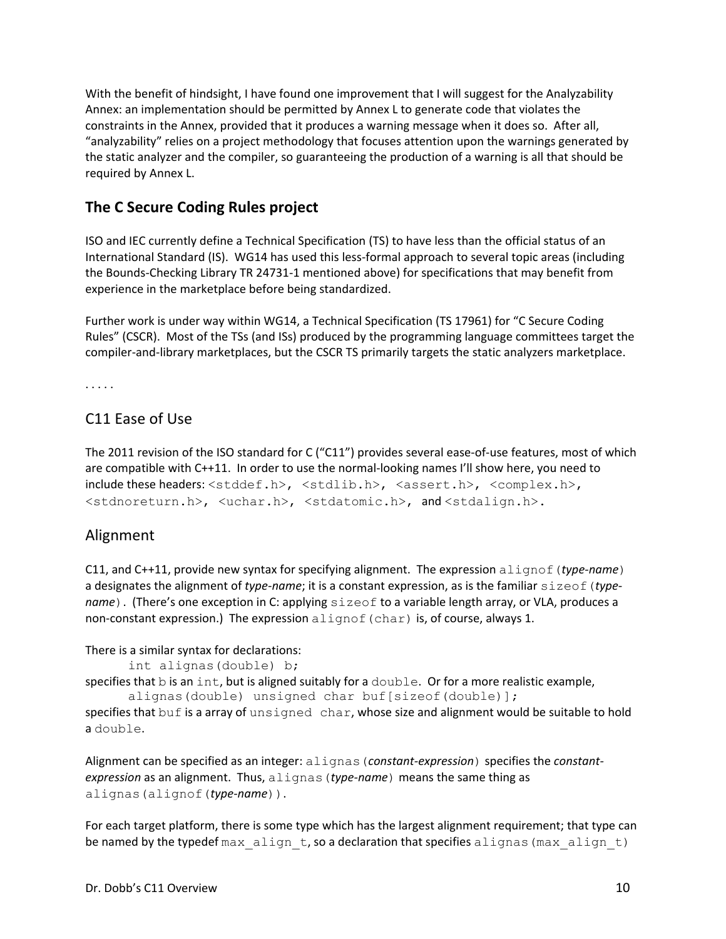With the benefit of hindsight, I have found one improvement that I will suggest for the Analyzability Annex: an implementation should be permitted by Annex L to generate code that violates the constraints in the Annex, provided that it produces a warning message when it does so. After all, "analyzability" relies on a project methodology that focuses attention upon the warnings generated by the static analyzer and the compiler, so guaranteeing the production of a warning is all that should be required by Annex L.

# **The C Secure Coding Rules project**

ISO and IEC currently define a Technical Specification (TS) to have less than the official status of an International Standard (IS). WG14 has used this less‐formal approach to several topic areas (including the Bounds‐Checking Library TR 24731‐1 mentioned above) for specifications that may benefit from experience in the marketplace before being standardized.

Further work is under way within WG14, a Technical Specification (TS 17961) for "C Secure Coding Rules" (CSCR). Most of the TSs (and ISs) produced by the programming language committees target the compiler‐and‐library marketplaces, but the CSCR TS primarily targets the static analyzers marketplace.

. . . . .

# C11 Ease of Use

The 2011 revision of the ISO standard for C ("C11") provides several ease-of-use features, most of which are compatible with C++11. In order to use the normal-looking names I'll show here, you need to  $include$  these headers:  $\langle$ stddef.h>,  $\langle$ stdlib.h>,  $\langle$ assert.h>,  $\langle$ complex.h>, <stdnoreturn.h>, <uchar.h>, <stdatomic.h>, and <stdalign.h>.

## Alignment

C11, and C++11, provide new syntax for specifying alignment. The expression alignof(*type‐name*) a designates the alignment of *type-name*; it is a constant expression, as is the familiar sizeof (*typename*). (There's one exception in C: applying sizeof to a variable length array, or VLA, produces a non-constant expression.) The expression  $align$  (char) is, of course, always 1.

There is a similar syntax for declarations:

```
int alignas(double) b;
```
specifies that  $\mathbf b$  is an int, but is aligned suitably for a  $\text{double}$ . Or for a more realistic example, alignas(double) unsigned char buf[sizeof(double)];

specifies that buf is a array of unsigned char, whose size and alignment would be suitable to hold a double.

Alignment can be specified as an integer: alignas(*constant‐expression*) specifies the *constant‐ expression* as an alignment. Thus, alignas(*type‐name*) means the same thing as alignas(alignof(*type‐name*)).

For each target platform, there is some type which has the largest alignment requirement; that type can be named by the typedef max  $align$  t, so a declaration that specifies alignas (max align t)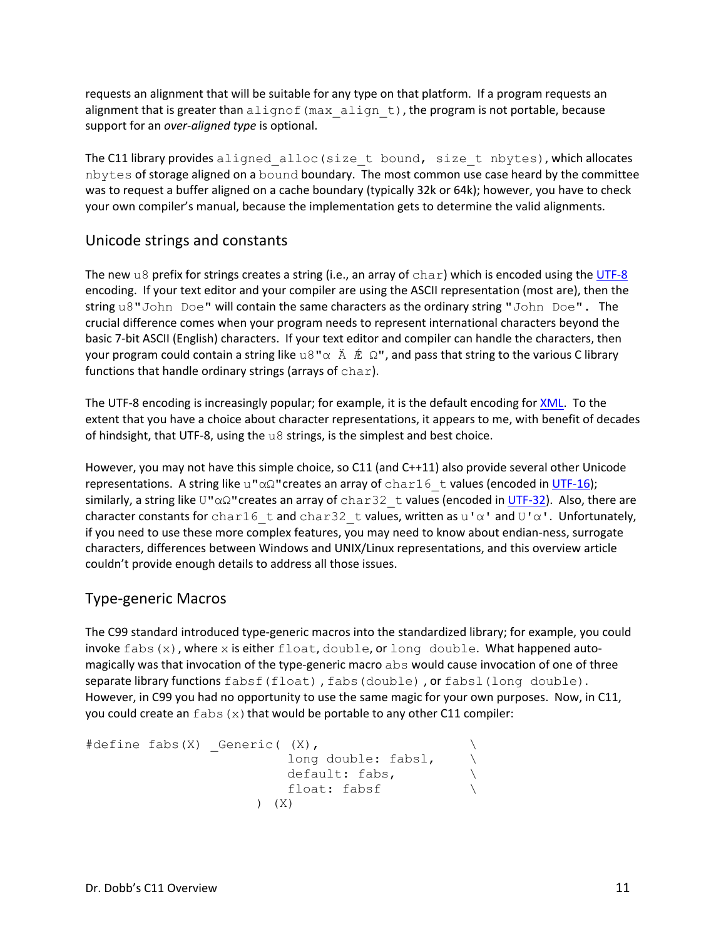requests an alignment that will be suitable for any type on that platform. If a program requests an alignment that is greater than  $\text{align}$  f (max  $\text{align } t$ ), the program is not portable, because support for an *over‐aligned type* is optional.

The C11 library provides aligned alloc(size t bound, size t nbytes), which allocates nbytes of storage aligned on a bound boundary. The most common use case heard by the committee was to request a buffer aligned on a cache boundary (typically 32k or 64k); however, you have to check your own compiler's manual, because the implementation gets to determine the valid alignments.

## Unicode strings and constants

The new u8 prefix for strings creates a string (i.e., an array of  $char$ ) which is encoded using the UTF-8 encoding. If your text editor and your compiler are using the ASCII representation (most are), then the string u8"John Doe" will contain the same characters as the ordinary string "John Doe". The crucial difference comes when your program needs to represent international characters beyond the basic 7‐bit ASCII (English) characters. If your text editor and compiler can handle the characters, then your program could contain a string like u8" $\alpha \land \hat{E} \Omega$ ", and pass that string to the various C library functions that handle ordinary strings (arrays of char).

The UTF-8 encoding is increasingly popular; for example, it is the default encoding for XML. To the extent that you have a choice about character representations, it appears to me, with benefit of decades of hindsight, that UTF‐8, using the u8 strings, is the simplest and best choice.

However, you may not have this simple choice, so C11 (and C++11) also provide several other Unicode representations. A string like u" $\alpha\Omega$ " creates an array of char16 t values (encoded in UTF-16); similarly, a string like U"αΩ"creates an array of char32 t values (encoded in UTF-32). Also, there are character constants for char16  $\tan d$  char32  $\tan d$  values, written as u'α' and U'α'. Unfortunately, if you need to use these more complex features, you may need to know about endian‐ness, surrogate characters, differences between Windows and UNIX/Linux representations, and this overview article couldn't provide enough details to address all those issues.

## Type‐generic Macros

The C99 standard introduced type‐generic macros into the standardized library; for example, you could invoke fabs(x), where x is either float, double, or long double. What happened automagically was that invocation of the type-generic macro abs would cause invocation of one of three separate library functions fabsf(float), fabs(double), or fabsl(long double). However, in C99 you had no opportunity to use the same magic for your own purposes. Now, in C11, you could create an  $fabs(x)$  that would be portable to any other C11 compiler:

```
#define fabs(X) Generic( (X),
                              long double: fabsl, \ 
                              default: fabs, \ 
                              float: fabsf \ 
                         ) (X)
```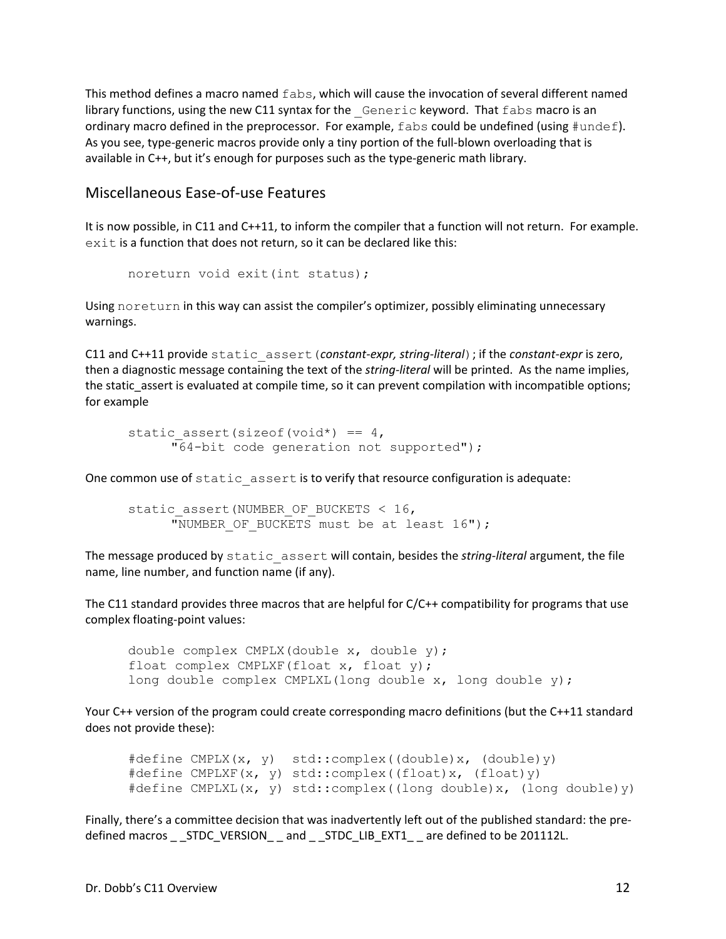This method defines a macro named fabs, which will cause the invocation of several different named library functions, using the new C11 syntax for the Generic keyword. That fabs macro is an ordinary macro defined in the preprocessor. For example,  $f$ abs could be undefined (using  $\#$ undef). As you see, type-generic macros provide only a tiny portion of the full-blown overloading that is available in C++, but it's enough for purposes such as the type-generic math library.

#### Miscellaneous Ease‐of‐use Features

It is now possible, in C11 and C++11, to inform the compiler that a function will not return. For example. exit is a function that does not return, so it can be declared like this:

```
noreturn void exit(int status);
```
Using noreturn in this way can assist the compiler's optimizer, possibly eliminating unnecessary warnings.

C11 and C++11 provide static\_assert(*constant‐expr, string‐literal*); if the *constant‐expr* is zero, then a diagnostic message containing the text of the *string‐literal* will be printed. As the name implies, the static assert is evaluated at compile time, so it can prevent compilation with incompatible options; for example

```
static assert(sizeof(void*) == 4,
     "64-bit code generation not supported");
```
One common use of static assert is to verify that resource configuration is adequate:

```
static assert (NUMBER OF BUCKETS < 16,
     "NUMBER OF BUCKETS must be at least 16");
```
The message produced by static\_assert will contain, besides the *string‐literal* argument, the file name, line number, and function name (if any).

The C11 standard provides three macros that are helpful for C/C++ compatibility for programs that use complex floating‐point values:

```
double complex CMPLX(double x, double y); 
float complex CMPLXF(float x, float y); 
long double complex CMPLXL(long double x, long double y);
```
Your C++ version of the program could create corresponding macro definitions (but the C++11 standard does not provide these):

```
#define CMPLX(x, y) std::complex((double)x, (double)y) 
#define CMPLXF(x, y) std::complex((float)x, (float)y) 
#define CMPLXL(x, y) std::complex((long double)x, (long double)y)
```
Finally, there's a committee decision that was inadvertently left out of the published standard: the pre‐ defined macros \_ \_STDC\_VERSION\_ \_ and \_ \_STDC\_LIB\_EXT1\_ \_ are defined to be 201112L.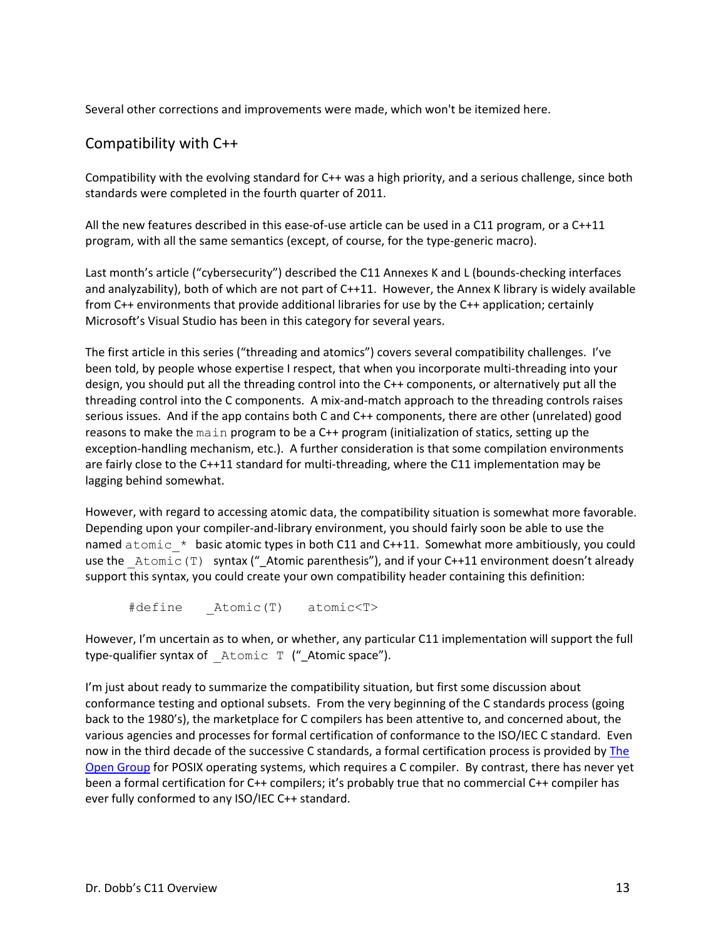Several other corrections and improvements were made, which won't be itemized here.

### Compatibility with C++

Compatibility with the evolving standard for C++ was a high priority, and a serious challenge, since both standards were completed in the fourth quarter of 2011.

All the new features described in this ease-of-use article can be used in a  $C11$  program, or a  $C++11$ program, with all the same semantics (except, of course, for the type‐generic macro).

Last month's article ("cybersecurity") described the C11 Annexes K and L (bounds‐checking interfaces and analyzability), both of which are not part of C++11. However, the Annex K library is widely available from C++ environments that provide additional libraries for use by the C++ application; certainly Microsoft's Visual Studio has been in this category for several years.

The first article in this series ("threading and atomics") covers several compatibility challenges. I've been told, by people whose expertise I respect, that when you incorporate multi‐threading into your design, you should put all the threading control into the C++ components, or alternatively put all the threading control into the C components. A mix‐and‐match approach to the threading controls raises serious issues. And if the app contains both C and C++ components, there are other (unrelated) good reasons to make the main program to be a C++ program (initialization of statics, setting up the exception-handling mechanism, etc.). A further consideration is that some compilation environments are fairly close to the C++11 standard for multi-threading, where the C11 implementation may be lagging behind somewhat.

However, with regard to accessing atomic data, the compatibility situation is somewhat more favorable. Depending upon your compiler‐and‐library environment, you should fairly soon be able to use the named  $atomic * basic atomic types in both C11 and C++11. Somewhat more ambitiously, you could$ use the Atomic(T) syntax ("\_Atomic parenthesis"), and if your C++11 environment doesn't already support this syntax, you could create your own compatibility header containing this definition:

#define \_Atomic(T) atomic<T>

However, I'm uncertain as to when, or whether, any particular C11 implementation will support the full type-qualifier syntax of Atomic T ("\_Atomic space").

I'm just about ready to summarize the compatibility situation, but first some discussion about conformance testing and optional subsets. From the very beginning of the C standards process (going back to the 1980's), the marketplace for C compilers has been attentive to, and concerned about, the various agencies and processes for formal certification of conformance to the ISO/IEC C standard. Even now in the third decade of the successive C standards, a formal certification process is provided by The Open Group for POSIX operating systems, which requires a C compiler. By contrast, there has never yet been a formal certification for C++ compilers; it's probably true that no commercial C++ compiler has ever fully conformed to any ISO/IEC C++ standard.